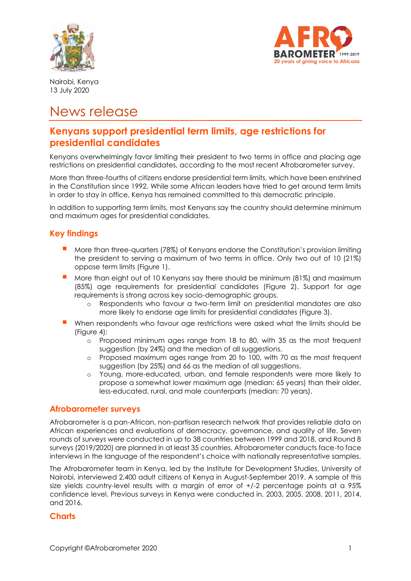



Nairobi, Kenya 13 July 2020

# News release

## **Kenyans support presidential term limits, age restrictions for presidential candidates**

Kenyans overwhelmingly favor limiting their president to two terms in office and placing age restrictions on presidential candidates, according to the most recent Afrobarometer survey.

More than three-fourths of citizens endorse presidential term limits, which have been enshrined in the Constitution since 1992. While some African leaders have tried to get around term limits in order to stay in office, Kenya has remained committed to this democratic principle.

In addition to supporting term limits, most Kenyans say the country should determine minimum and maximum ages for presidential candidates.

### **Key findings**

- More than three-quarters (78%) of Kenyans endorse the Constitution's provision limiting the president to serving a maximum of two terms in office. Only two out of 10 (21%) oppose term limits (Figure 1).
- More than eight out of 10 Kenyans say there should be minimum (81%) and maximum (85%) age requirements for presidential candidates (Figure 2). Support for age requirements is strong across key socio-demographic groups.
	- o Respondents who favour a two-term limit on presidential mandates are also more likely to endorse age limits for presidential candidates (Figure 3).
- When respondents who favour age restrictions were asked what the limits should be (Figure 4):
	- o Proposed minimum ages range from 18 to 80, with 35 as the most frequent suggestion (by 24%) and the median of all suggestions.
	- o Proposed maximum ages range from 20 to 100, with 70 as the most frequent suggestion (by 25%) and 66 as the median of all suggestions.
	- o Young, more-educated, urban, and female respondents were more likely to propose a somewhat lower maximum age (median: 65 years) than their older, less-educated, rural, and male counterparts (median: 70 years).

#### **Afrobarometer surveys**

Afrobarometer is a pan-African, non-partisan research network that provides reliable data on African experiences and evaluations of democracy, governance, and quality of life. Seven rounds of surveys were conducted in up to 38 countries between 1999 and 2018, and Round 8 surveys (2019/2020) are planned in at least 35 countries. Afrobarometer conducts face-to face interviews in the language of the respondent's choice with nationally representative samples.

The Afrobarometer team in Kenya, led by the Institute for Development Studies, University of Nairobi, interviewed 2,400 adult citizens of Kenya in August-September 2019. A sample of this size yields country-level results with a margin of error of +/-2 percentage points at a 95% confidence level. Previous surveys in Kenya were conducted in, 2003, 2005, 2008, 2011, 2014, and 2016.

#### **Charts**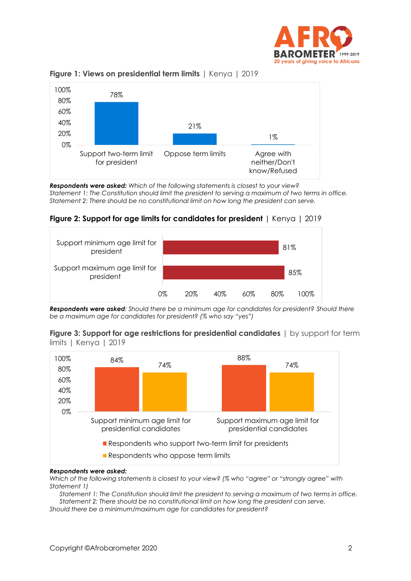



**Figure 1: Views on presidential term limits** | Kenya | 2019

*Respondents were asked: Which of the following statements is closest to your view? Statement 1: The Constitution should limit the president to serving a maximum of two terms in office. Statement 2: There should be no constitutional limit on how long the president can serve.*

#### **Figure 2: Support for age limits for candidates for president** | Kenya | 2019



*Respondents were asked: Should there be a minimum age for candidates for president? Should there be a maximum age for candidates for president? (% who say "yes")*





#### *Respondents were asked:*

*Which of the following statements is closest to your view? (% who "agree" or "strongly agree" with Statement 1)*

*Statement 1: The Constitution should limit the president to serving a maximum of two terms in office. Statement 2: There should be no constitutional limit on how long the president can serve.*

*Should there be a minimum/maximum age for candidates for president?*